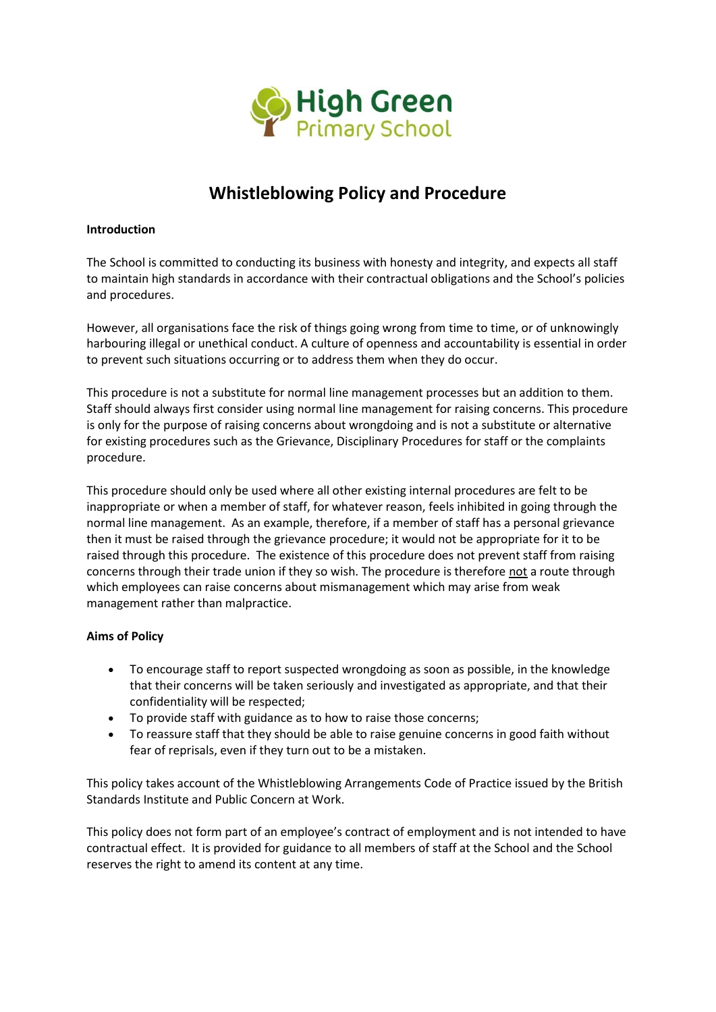

# **Whistleblowing Policy and Procedure**

## **Introduction**

The School is committed to conducting its business with honesty and integrity, and expects all staff to maintain high standards in accordance with their contractual obligations and the School's policies and procedures.

However, all organisations face the risk of things going wrong from time to time, or of unknowingly harbouring illegal or unethical conduct. A culture of openness and accountability is essential in order to prevent such situations occurring or to address them when they do occur.

This procedure is not a substitute for normal line management processes but an addition to them. Staff should always first consider using normal line management for raising concerns. This procedure is only for the purpose of raising concerns about wrongdoing and is not a substitute or alternative for existing procedures such as the Grievance, Disciplinary Procedures for staff or the complaints procedure.

This procedure should only be used where all other existing internal procedures are felt to be inappropriate or when a member of staff, for whatever reason, feels inhibited in going through the normal line management. As an example, therefore, if a member of staff has a personal grievance then it must be raised through the grievance procedure; it would not be appropriate for it to be raised through this procedure. The existence of this procedure does not prevent staff from raising concerns through their trade union if they so wish. The procedure is therefore not a route through which employees can raise concerns about mismanagement which may arise from weak management rather than malpractice.

## **Aims of Policy**

- To encourage staff to report suspected wrongdoing as soon as possible, in the knowledge that their concerns will be taken seriously and investigated as appropriate, and that their confidentiality will be respected;
- To provide staff with guidance as to how to raise those concerns;
- To reassure staff that they should be able to raise genuine concerns in good faith without fear of reprisals, even if they turn out to be a mistaken.

This policy takes account of the Whistleblowing Arrangements Code of Practice issued by the British Standards Institute and Public Concern at Work.

This policy does not form part of an employee's contract of employment and is not intended to have contractual effect. It is provided for guidance to all members of staff at the School and the School reserves the right to amend its content at any time.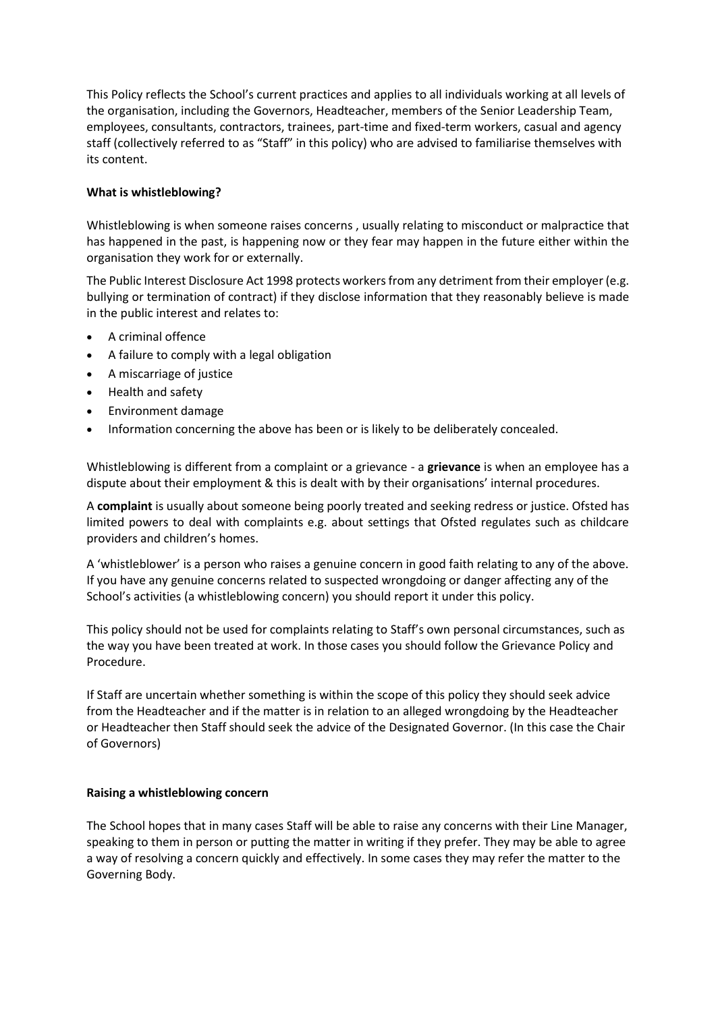This Policy reflects the School's current practices and applies to all individuals working at all levels of the organisation, including the Governors, Headteacher, members of the Senior Leadership Team, employees, consultants, contractors, trainees, part-time and fixed-term workers, casual and agency staff (collectively referred to as "Staff" in this policy) who are advised to familiarise themselves with its content.

# **What is whistleblowing?**

Whistleblowing is when someone raises concerns , usually relating to misconduct or malpractice that has happened in the past, is happening now or they fear may happen in the future either within the organisation they work for or externally.

The Public Interest Disclosure Act 1998 protects workers from any detriment from their employer (e.g. bullying or termination of contract) if they disclose information that they reasonably believe is made in the public interest and relates to:

- A criminal offence
- A failure to comply with a legal obligation
- A miscarriage of justice
- Health and safety
- Environment damage
- Information concerning the above has been or is likely to be deliberately concealed.

Whistleblowing is different from a complaint or a grievance - a **grievance** is when an employee has a dispute about their employment & this is dealt with by their organisations' internal procedures.

A **complaint** is usually about someone being poorly treated and seeking redress or justice. Ofsted has limited powers to deal with complaints e.g. about settings that Ofsted regulates such as childcare providers and children's homes.

A 'whistleblower' is a person who raises a genuine concern in good faith relating to any of the above. If you have any genuine concerns related to suspected wrongdoing or danger affecting any of the School's activities (a whistleblowing concern) you should report it under this policy.

This policy should not be used for complaints relating to Staff's own personal circumstances, such as the way you have been treated at work. In those cases you should follow the Grievance Policy and Procedure.

If Staff are uncertain whether something is within the scope of this policy they should seek advice from the Headteacher and if the matter is in relation to an alleged wrongdoing by the Headteacher or Headteacher then Staff should seek the advice of the Designated Governor. (In this case the Chair of Governors)

## **Raising a whistleblowing concern**

The School hopes that in many cases Staff will be able to raise any concerns with their Line Manager, speaking to them in person or putting the matter in writing if they prefer. They may be able to agree a way of resolving a concern quickly and effectively. In some cases they may refer the matter to the Governing Body.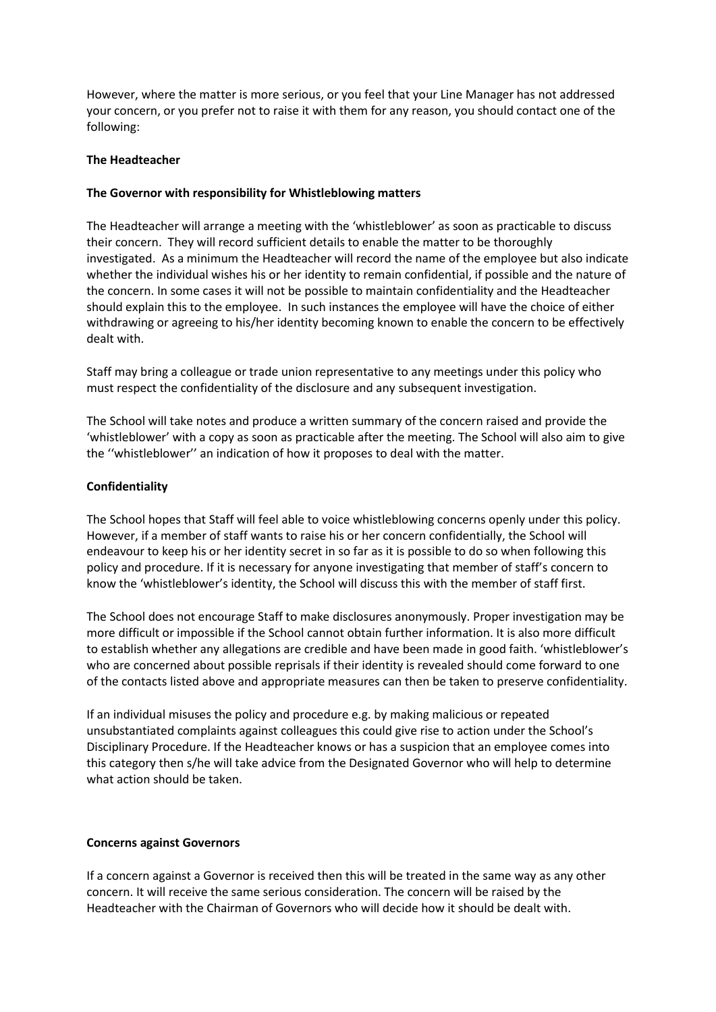However, where the matter is more serious, or you feel that your Line Manager has not addressed your concern, or you prefer not to raise it with them for any reason, you should contact one of the following:

## **The Headteacher**

# **The Governor with responsibility for Whistleblowing matters**

The Headteacher will arrange a meeting with the 'whistleblower' as soon as practicable to discuss their concern. They will record sufficient details to enable the matter to be thoroughly investigated. As a minimum the Headteacher will record the name of the employee but also indicate whether the individual wishes his or her identity to remain confidential, if possible and the nature of the concern. In some cases it will not be possible to maintain confidentiality and the Headteacher should explain this to the employee. In such instances the employee will have the choice of either withdrawing or agreeing to his/her identity becoming known to enable the concern to be effectively dealt with.

Staff may bring a colleague or trade union representative to any meetings under this policy who must respect the confidentiality of the disclosure and any subsequent investigation.

The School will take notes and produce a written summary of the concern raised and provide the 'whistleblower' with a copy as soon as practicable after the meeting. The School will also aim to give the ''whistleblower'' an indication of how it proposes to deal with the matter.

# **Confidentiality**

The School hopes that Staff will feel able to voice whistleblowing concerns openly under this policy. However, if a member of staff wants to raise his or her concern confidentially, the School will endeavour to keep his or her identity secret in so far as it is possible to do so when following this policy and procedure. If it is necessary for anyone investigating that member of staff's concern to know the 'whistleblower's identity, the School will discuss this with the member of staff first.

The School does not encourage Staff to make disclosures anonymously. Proper investigation may be more difficult or impossible if the School cannot obtain further information. It is also more difficult to establish whether any allegations are credible and have been made in good faith. 'whistleblower's who are concerned about possible reprisals if their identity is revealed should come forward to one of the contacts listed above and appropriate measures can then be taken to preserve confidentiality.

If an individual misuses the policy and procedure e.g. by making malicious or repeated unsubstantiated complaints against colleagues this could give rise to action under the School's Disciplinary Procedure. If the Headteacher knows or has a suspicion that an employee comes into this category then s/he will take advice from the Designated Governor who will help to determine what action should be taken.

## **Concerns against Governors**

If a concern against a Governor is received then this will be treated in the same way as any other concern. It will receive the same serious consideration. The concern will be raised by the Headteacher with the Chairman of Governors who will decide how it should be dealt with.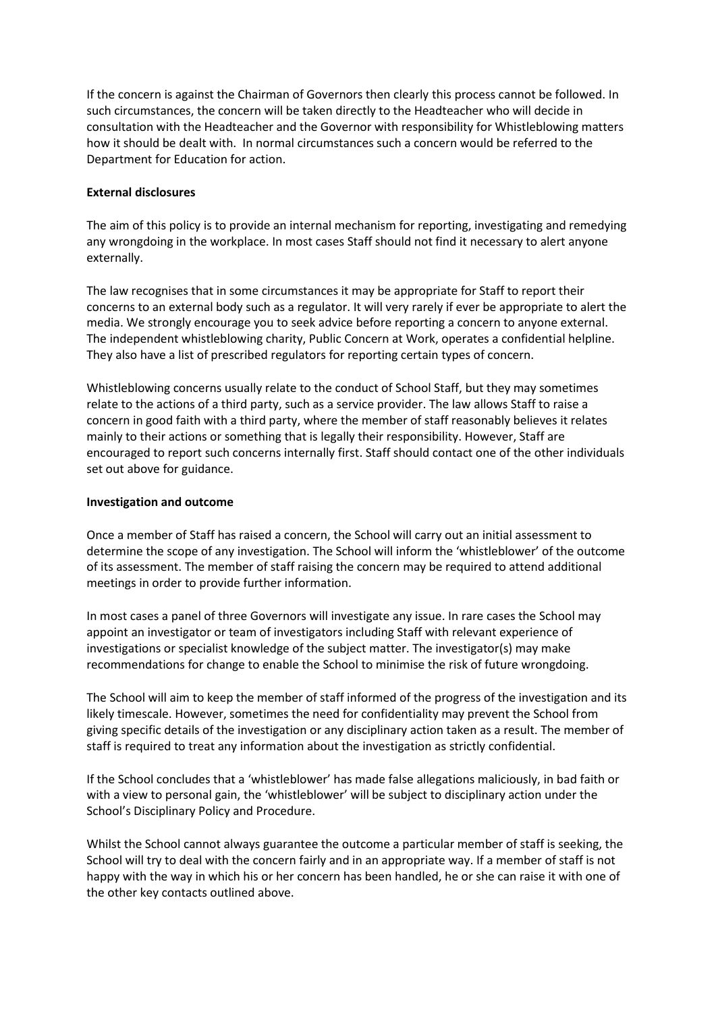If the concern is against the Chairman of Governors then clearly this process cannot be followed. In such circumstances, the concern will be taken directly to the Headteacher who will decide in consultation with the Headteacher and the Governor with responsibility for Whistleblowing matters how it should be dealt with. In normal circumstances such a concern would be referred to the Department for Education for action.

## **External disclosures**

The aim of this policy is to provide an internal mechanism for reporting, investigating and remedying any wrongdoing in the workplace. In most cases Staff should not find it necessary to alert anyone externally.

The law recognises that in some circumstances it may be appropriate for Staff to report their concerns to an external body such as a regulator. It will very rarely if ever be appropriate to alert the media. We strongly encourage you to seek advice before reporting a concern to anyone external. The independent whistleblowing charity, Public Concern at Work, operates a confidential helpline. They also have a list of prescribed regulators for reporting certain types of concern.

Whistleblowing concerns usually relate to the conduct of School Staff, but they may sometimes relate to the actions of a third party, such as a service provider. The law allows Staff to raise a concern in good faith with a third party, where the member of staff reasonably believes it relates mainly to their actions or something that is legally their responsibility. However, Staff are encouraged to report such concerns internally first. Staff should contact one of the other individuals set out above for guidance.

# **Investigation and outcome**

Once a member of Staff has raised a concern, the School will carry out an initial assessment to determine the scope of any investigation. The School will inform the 'whistleblower' of the outcome of its assessment. The member of staff raising the concern may be required to attend additional meetings in order to provide further information.

In most cases a panel of three Governors will investigate any issue. In rare cases the School may appoint an investigator or team of investigators including Staff with relevant experience of investigations or specialist knowledge of the subject matter. The investigator(s) may make recommendations for change to enable the School to minimise the risk of future wrongdoing.

The School will aim to keep the member of staff informed of the progress of the investigation and its likely timescale. However, sometimes the need for confidentiality may prevent the School from giving specific details of the investigation or any disciplinary action taken as a result. The member of staff is required to treat any information about the investigation as strictly confidential.

If the School concludes that a 'whistleblower' has made false allegations maliciously, in bad faith or with a view to personal gain, the 'whistleblower' will be subject to disciplinary action under the School's Disciplinary Policy and Procedure.

Whilst the School cannot always guarantee the outcome a particular member of staff is seeking, the School will try to deal with the concern fairly and in an appropriate way. If a member of staff is not happy with the way in which his or her concern has been handled, he or she can raise it with one of the other key contacts outlined above.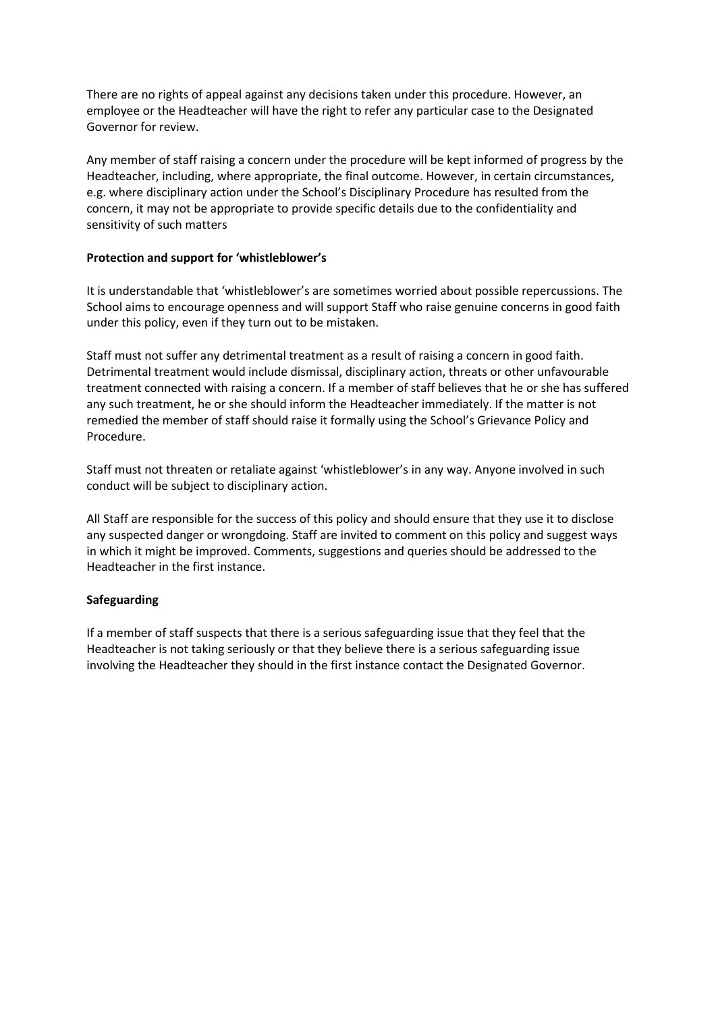There are no rights of appeal against any decisions taken under this procedure. However, an employee or the Headteacher will have the right to refer any particular case to the Designated Governor for review.

Any member of staff raising a concern under the procedure will be kept informed of progress by the Headteacher, including, where appropriate, the final outcome. However, in certain circumstances, e.g. where disciplinary action under the School's Disciplinary Procedure has resulted from the concern, it may not be appropriate to provide specific details due to the confidentiality and sensitivity of such matters

## **Protection and support for 'whistleblower's**

It is understandable that 'whistleblower's are sometimes worried about possible repercussions. The School aims to encourage openness and will support Staff who raise genuine concerns in good faith under this policy, even if they turn out to be mistaken.

Staff must not suffer any detrimental treatment as a result of raising a concern in good faith. Detrimental treatment would include dismissal, disciplinary action, threats or other unfavourable treatment connected with raising a concern. If a member of staff believes that he or she has suffered any such treatment, he or she should inform the Headteacher immediately. If the matter is not remedied the member of staff should raise it formally using the School's Grievance Policy and Procedure.

Staff must not threaten or retaliate against 'whistleblower's in any way. Anyone involved in such conduct will be subject to disciplinary action.

All Staff are responsible for the success of this policy and should ensure that they use it to disclose any suspected danger or wrongdoing. Staff are invited to comment on this policy and suggest ways in which it might be improved. Comments, suggestions and queries should be addressed to the Headteacher in the first instance.

# **Safeguarding**

If a member of staff suspects that there is a serious safeguarding issue that they feel that the Headteacher is not taking seriously or that they believe there is a serious safeguarding issue involving the Headteacher they should in the first instance contact the Designated Governor.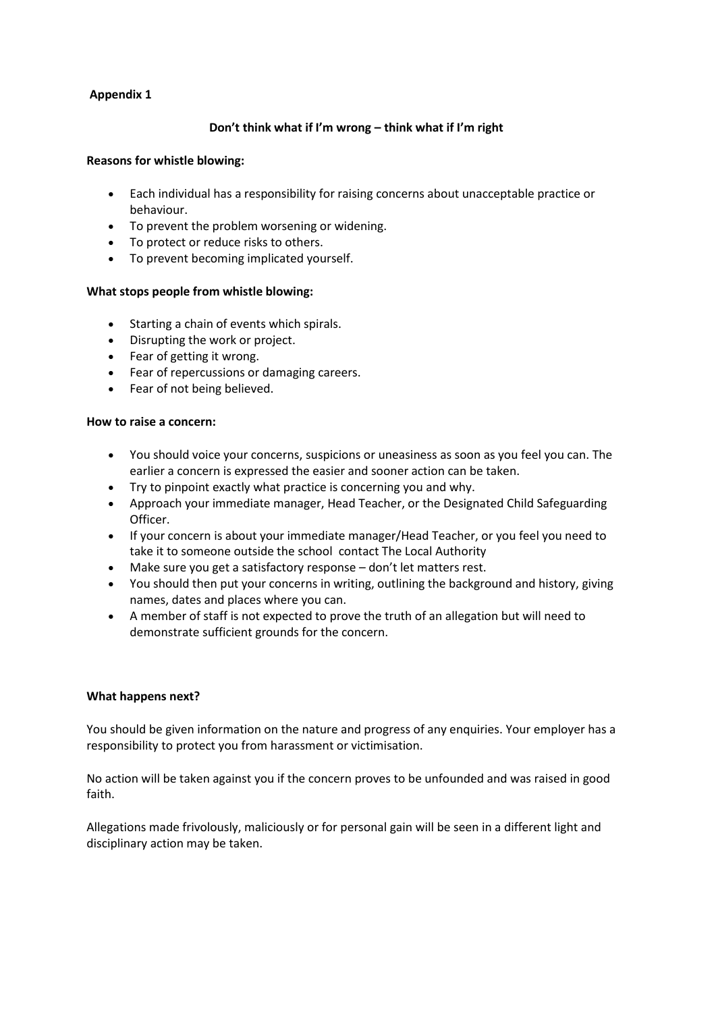# **Appendix 1**

## **Don't think what if I'm wrong – think what if I'm right**

#### **Reasons for whistle blowing:**

- Each individual has a responsibility for raising concerns about unacceptable practice or behaviour.
- To prevent the problem worsening or widening.
- To protect or reduce risks to others.
- To prevent becoming implicated yourself.

## **What stops people from whistle blowing:**

- Starting a chain of events which spirals.
- Disrupting the work or project.
- Fear of getting it wrong.
- Fear of repercussions or damaging careers.
- Fear of not being believed.

#### **How to raise a concern:**

- You should voice your concerns, suspicions or uneasiness as soon as you feel you can. The earlier a concern is expressed the easier and sooner action can be taken.
- Try to pinpoint exactly what practice is concerning you and why.
- Approach your immediate manager, Head Teacher, or the Designated Child Safeguarding Officer.
- If your concern is about your immediate manager/Head Teacher, or you feel you need to take it to someone outside the school contact The Local Authority
- Make sure you get a satisfactory response don't let matters rest.
- You should then put your concerns in writing, outlining the background and history, giving names, dates and places where you can.
- A member of staff is not expected to prove the truth of an allegation but will need to demonstrate sufficient grounds for the concern.

## **What happens next?**

You should be given information on the nature and progress of any enquiries. Your employer has a responsibility to protect you from harassment or victimisation.

No action will be taken against you if the concern proves to be unfounded and was raised in good faith.

Allegations made frivolously, maliciously or for personal gain will be seen in a different light and disciplinary action may be taken.